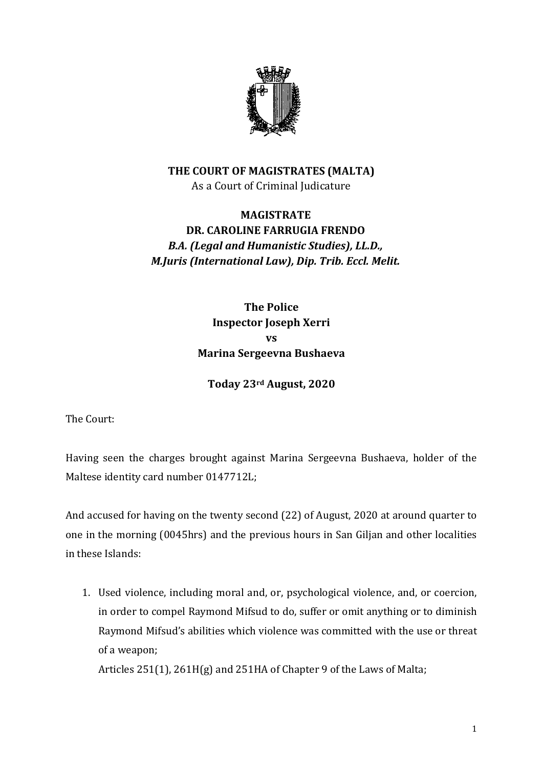

## **THE COURT OF MAGISTRATES (MALTA)** As a Court of Criminal Judicature

## **MAGISTRATE DR. CAROLINE FARRUGIA FRENDO** *B.A. (Legal and Humanistic Studies), LL.D., M.Juris (International Law), Dip. Trib. Eccl. Melit.*

**The Police Inspector Joseph Xerri vs Marina Sergeevna Bushaeva**

**Today 23rd August, 2020**

The Court:

Having seen the charges brought against Marina Sergeevna Bushaeva, holder of the Maltese identity card number 0147712L;

And accused for having on the twenty second (22) of August, 2020 at around quarter to one in the morning (0045hrs) and the previous hours in San Giljan and other localities in these Islands:

1. Used violence, including moral and, or, psychological violence, and, or coercion, in order to compel Raymond Mifsud to do, suffer or omit anything or to diminish Raymond Mifsud's abilities which violence was committed with the use or threat of a weapon;

Articles 251(1), 261H(g) and 251HA of Chapter 9 of the Laws of Malta;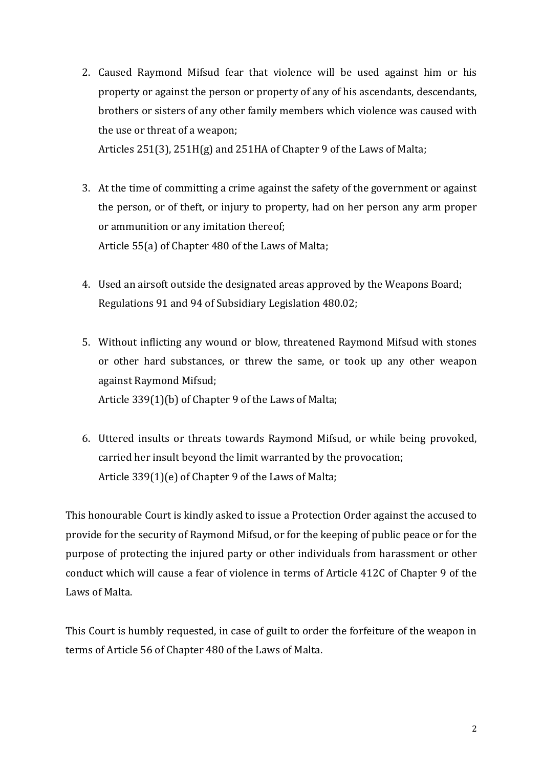- 2. Caused Raymond Mifsud fear that violence will be used against him or his property or against the person or property of any of his ascendants, descendants, brothers or sisters of any other family members which violence was caused with the use or threat of a weapon; Articles 251(3), 251H(g) and 251HA of Chapter 9 of the Laws of Malta;
- 3. At the time of committing a crime against the safety of the government or against the person, or of theft, or injury to property, had on her person any arm proper or ammunition or any imitation thereof; Article 55(a) of Chapter 480 of the Laws of Malta;
- 4. Used an airsoft outside the designated areas approved by the Weapons Board; Regulations 91 and 94 of Subsidiary Legislation 480.02;
- 5. Without inflicting any wound or blow, threatened Raymond Mifsud with stones or other hard substances, or threw the same, or took up any other weapon against Raymond Mifsud; Article 339(1)(b) of Chapter 9 of the Laws of Malta;
- 6. Uttered insults or threats towards Raymond Mifsud, or while being provoked, carried her insult beyond the limit warranted by the provocation; Article 339(1)(e) of Chapter 9 of the Laws of Malta;

This honourable Court is kindly asked to issue a Protection Order against the accused to provide for the security of Raymond Mifsud, or for the keeping of public peace or for the purpose of protecting the injured party or other individuals from harassment or other conduct which will cause a fear of violence in terms of Article 412C of Chapter 9 of the Laws of Malta.

This Court is humbly requested, in case of guilt to order the forfeiture of the weapon in terms of Article 56 of Chapter 480 of the Laws of Malta.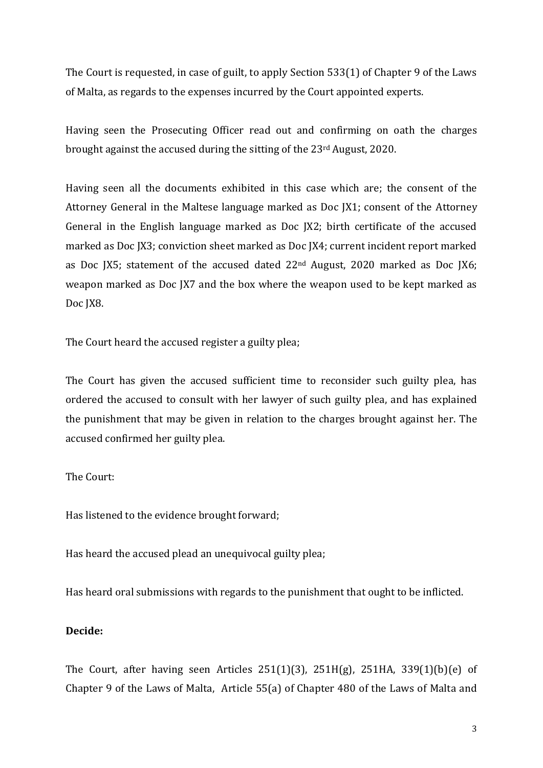The Court is requested, in case of guilt, to apply Section 533(1) of Chapter 9 of the Laws of Malta, as regards to the expenses incurred by the Court appointed experts.

Having seen the Prosecuting Officer read out and confirming on oath the charges brought against the accused during the sitting of the 23rd August, 2020.

Having seen all the documents exhibited in this case which are; the consent of the Attorney General in the Maltese language marked as Doc JX1; consent of the Attorney General in the English language marked as Doc JX2; birth certificate of the accused marked as Doc JX3; conviction sheet marked as Doc JX4; current incident report marked as Doc JX5; statement of the accused dated 22nd August, 2020 marked as Doc JX6; weapon marked as Doc JX7 and the box where the weapon used to be kept marked as Doc JX8.

The Court heard the accused register a guilty plea;

The Court has given the accused sufficient time to reconsider such guilty plea, has ordered the accused to consult with her lawyer of such guilty plea, and has explained the punishment that may be given in relation to the charges brought against her. The accused confirmed her guilty plea.

## The Court:

Has listened to the evidence brought forward;

Has heard the accused plead an unequivocal guilty plea;

Has heard oral submissions with regards to the punishment that ought to be inflicted.

## **Decide:**

The Court, after having seen Articles 251(1)(3), 251H(g), 251HA, 339(1)(b)(e) of Chapter 9 of the Laws of Malta, Article 55(a) of Chapter 480 of the Laws of Malta and